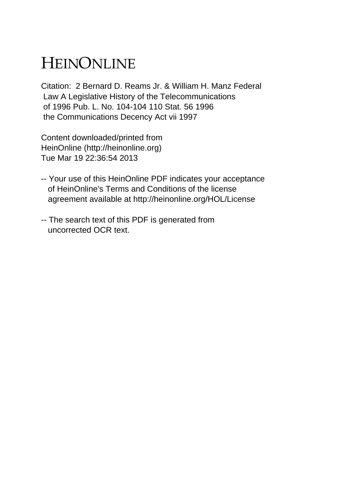# HEINONLINE

Citation: 2 Bernard D. Reams Jr. & William H. Manz Federal Law A Legislative History of the Telecommunications of 1996 Pub. L. No. 104-104 110 Stat. 56 1996 the Communications Decency Act vii 1997

Content downloaded/printed from HeinOnline (http://heinonline.org) Tue Mar 19 22:36:54 2013

- -- Your use of this HeinOnline PDF indicates your acceptance of HeinOnline's Terms and Conditions of the license agreement available at http://heinonline.org/HOL/License
- -- The search text of this PDF is generated from uncorrected OCR text.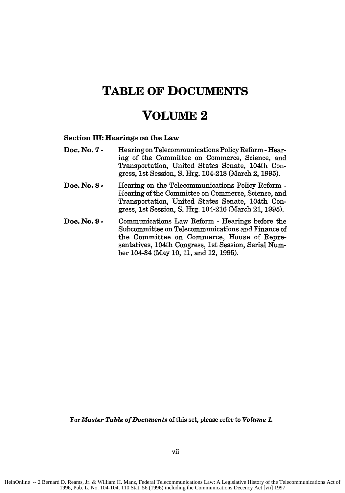### **TABLE OF DOCUMENTS**

### **VOLUME 2**

#### **Section III: Hearings on the Law**

- **Doc. No. 7 -** Hearing on Telecommunications Policy Reform -Hearing of the Committee on Commerce, Science, and Transportation, United States Senate, 104th Congress, 1st Session, **S.** Hrg. 104-218 (March 2, 1995).
- **Doc. No. 8 -** Hearing on the Telecommunications Policy Reform - Hearing of the Committee on Commerce, Science, and Transportation, United States Senate, 104th Congress, 1st Session, S. Hrg. 104-216 (March 21, 1995).
- **Doc. No. 9 -** Communications Law Reform - Hearings before the Subcommittee on Telecommunications and Finance of the Committee on Commerce, House of Representatives, 104th Congress, 1st Session, Serial Number 104-34 (May 10, 11, and 12, 1995).

*For Master Table of Documents* of this set, please refer to *Volume 1.*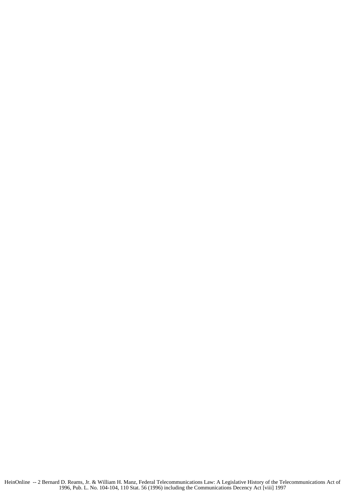HeinOnline -- 2 Bernard D. Reams, Jr. & William H. Manz, Federal Telecommunications Law: A Legislative History of the Telecommunications Act of 1996, Pub. L. No. 104-104, 110 Stat. 56 (1996) including the Communications Decency Act [viii] 1997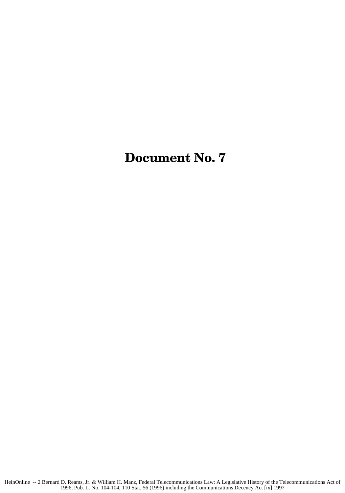## Document No. **7**